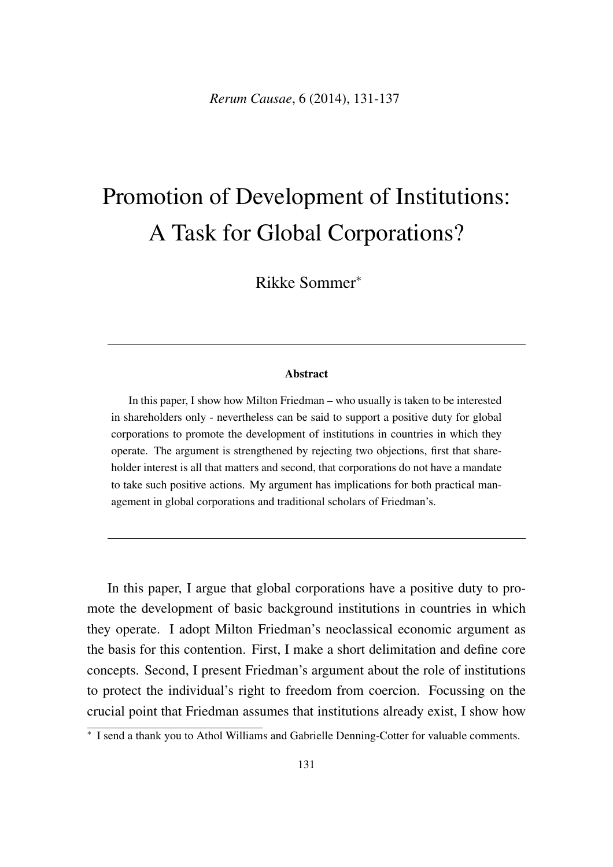# Promotion of Development of Institutions: A Task for Global Corporations?

Rikke Sommer<sup>\*</sup>

#### Abstract

In this paper, I show how Milton Friedman – who usually is taken to be interested in shareholders only - nevertheless can be said to support a positive duty for global corporations to promote the development of institutions in countries in which they operate. The argument is strengthened by rejecting two objections, first that shareholder interest is all that matters and second, that corporations do not have a mandate to take such positive actions. My argument has implications for both practical management in global corporations and traditional scholars of Friedman's.

In this paper, I argue that global corporations have a positive duty to promote the development of basic background institutions in countries in which they operate. I adopt Milton Friedman's neoclassical economic argument as the basis for this contention. First, I make a short delimitation and define core concepts. Second, I present Friedman's argument about the role of institutions to protect the individual's right to freedom from coercion. Focussing on the crucial point that Friedman assumes that institutions already exist, I show how

<sup>⇤</sup> I send a thank you to Athol Williams and Gabrielle Denning-Cotter for valuable comments.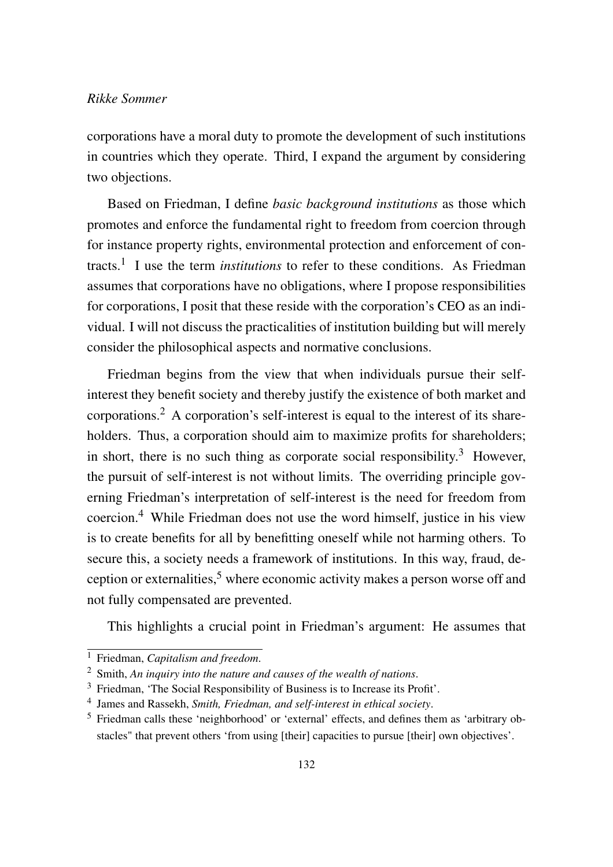# *Rikke Sommer*

corporations have a moral duty to promote the development of such institutions in countries which they operate. Third, I expand the argument by considering two objections.

Based on Friedman, I define *basic background institutions* as those which promotes and enforce the fundamental right to freedom from coercion through for instance property rights, environmental protection and enforcement of contracts.1 I use the term *institutions* to refer to these conditions. As Friedman assumes that corporations have no obligations, where I propose responsibilities for corporations, I posit that these reside with the corporation's CEO as an individual. I will not discuss the practicalities of institution building but will merely consider the philosophical aspects and normative conclusions.

Friedman begins from the view that when individuals pursue their selfinterest they benefit society and thereby justify the existence of both market and corporations.2 A corporation's self-interest is equal to the interest of its shareholders. Thus, a corporation should aim to maximize profits for shareholders; in short, there is no such thing as corporate social responsibility.<sup>3</sup> However, the pursuit of self-interest is not without limits. The overriding principle governing Friedman's interpretation of self-interest is the need for freedom from coercion.4 While Friedman does not use the word himself, justice in his view is to create benefits for all by benefitting oneself while not harming others. To secure this, a society needs a framework of institutions. In this way, fraud, deception or externalities,<sup>5</sup> where economic activity makes a person worse off and not fully compensated are prevented.

This highlights a crucial point in Friedman's argument: He assumes that

<sup>1</sup> Friedman, *Capitalism and freedom*.

<sup>2</sup> Smith, *An inquiry into the nature and causes of the wealth of nations*.

<sup>3</sup> Friedman, 'The Social Responsibility of Business is to Increase its Profit'.

<sup>4</sup> James and Rassekh, *Smith, Friedman, and self-interest in ethical society*.

<sup>5</sup> Friedman calls these 'neighborhood' or 'external' effects, and defines them as 'arbitrary obstacles" that prevent others 'from using [their] capacities to pursue [their] own objectives'.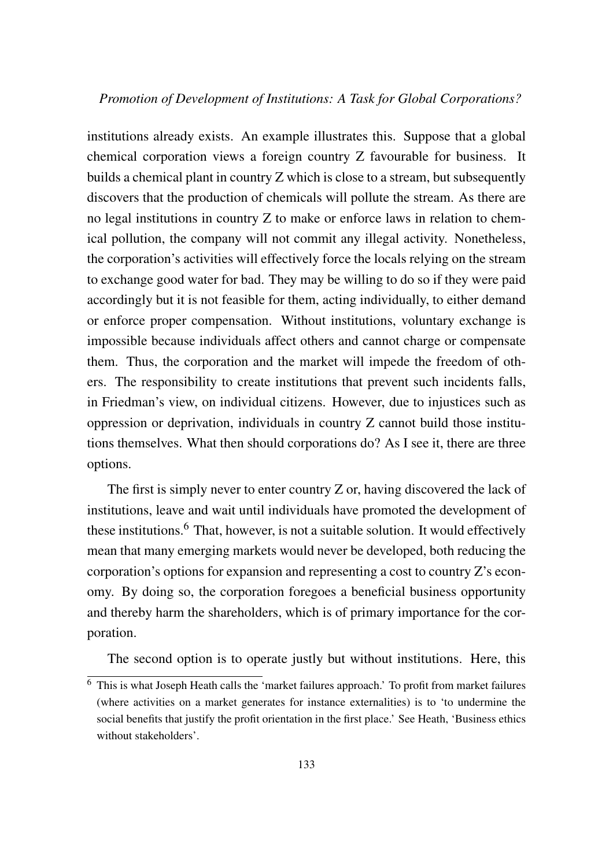# *Promotion of Development of Institutions: A Task for Global Corporations?*

institutions already exists. An example illustrates this. Suppose that a global chemical corporation views a foreign country Z favourable for business. It builds a chemical plant in country Z which is close to a stream, but subsequently discovers that the production of chemicals will pollute the stream. As there are no legal institutions in country Z to make or enforce laws in relation to chemical pollution, the company will not commit any illegal activity. Nonetheless, the corporation's activities will effectively force the locals relying on the stream to exchange good water for bad. They may be willing to do so if they were paid accordingly but it is not feasible for them, acting individually, to either demand or enforce proper compensation. Without institutions, voluntary exchange is impossible because individuals affect others and cannot charge or compensate them. Thus, the corporation and the market will impede the freedom of others. The responsibility to create institutions that prevent such incidents falls, in Friedman's view, on individual citizens. However, due to injustices such as oppression or deprivation, individuals in country Z cannot build those institutions themselves. What then should corporations do? As I see it, there are three options.

The first is simply never to enter country Z or, having discovered the lack of institutions, leave and wait until individuals have promoted the development of these institutions.<sup>6</sup> That, however, is not a suitable solution. It would effectively mean that many emerging markets would never be developed, both reducing the corporation's options for expansion and representing a cost to country Z's economy. By doing so, the corporation foregoes a beneficial business opportunity and thereby harm the shareholders, which is of primary importance for the corporation.

The second option is to operate justly but without institutions. Here, this

<sup>6</sup> This is what Joseph Heath calls the 'market failures approach.' To profit from market failures (where activities on a market generates for instance externalities) is to 'to undermine the social benefits that justify the profit orientation in the first place.' See Heath, 'Business ethics without stakeholders'.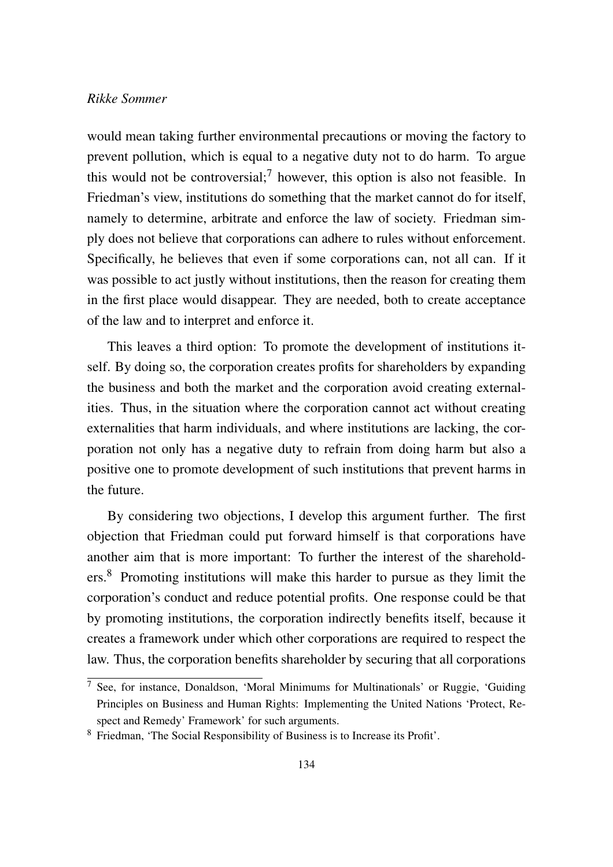# *Rikke Sommer*

would mean taking further environmental precautions or moving the factory to prevent pollution, which is equal to a negative duty not to do harm. To argue this would not be controversial;<sup>7</sup> however, this option is also not feasible. In Friedman's view, institutions do something that the market cannot do for itself, namely to determine, arbitrate and enforce the law of society. Friedman simply does not believe that corporations can adhere to rules without enforcement. Specifically, he believes that even if some corporations can, not all can. If it was possible to act justly without institutions, then the reason for creating them in the first place would disappear. They are needed, both to create acceptance of the law and to interpret and enforce it.

This leaves a third option: To promote the development of institutions itself. By doing so, the corporation creates profits for shareholders by expanding the business and both the market and the corporation avoid creating externalities. Thus, in the situation where the corporation cannot act without creating externalities that harm individuals, and where institutions are lacking, the corporation not only has a negative duty to refrain from doing harm but also a positive one to promote development of such institutions that prevent harms in the future.

By considering two objections, I develop this argument further. The first objection that Friedman could put forward himself is that corporations have another aim that is more important: To further the interest of the shareholders.8 Promoting institutions will make this harder to pursue as they limit the corporation's conduct and reduce potential profits. One response could be that by promoting institutions, the corporation indirectly benefits itself, because it creates a framework under which other corporations are required to respect the law. Thus, the corporation benefits shareholder by securing that all corporations

<sup>&</sup>lt;sup>7</sup> See, for instance, Donaldson, 'Moral Minimums for Multinationals' or Ruggie, 'Guiding Principles on Business and Human Rights: Implementing the United Nations 'Protect, Respect and Remedy' Framework' for such arguments.

<sup>8</sup> Friedman, 'The Social Responsibility of Business is to Increase its Profit'.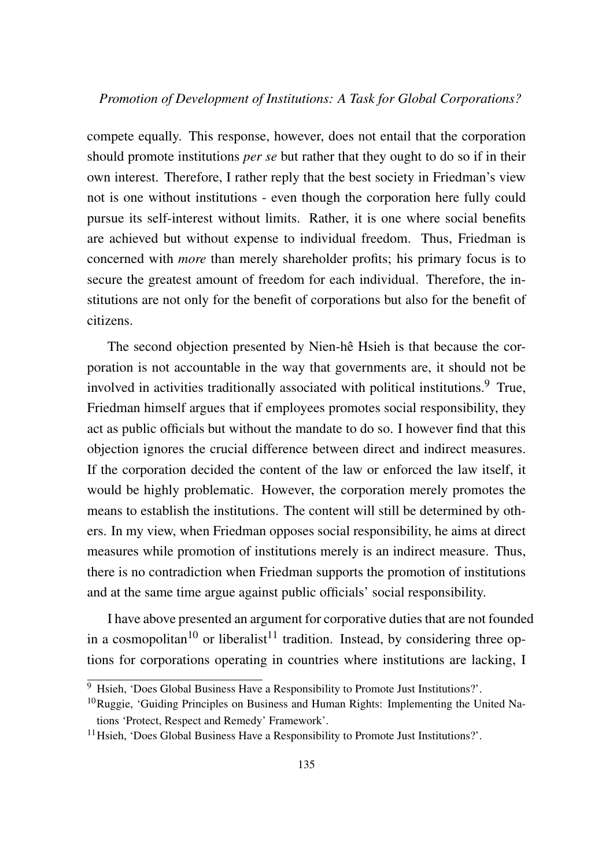# *Promotion of Development of Institutions: A Task for Global Corporations?*

compete equally. This response, however, does not entail that the corporation should promote institutions *per se* but rather that they ought to do so if in their own interest. Therefore, I rather reply that the best society in Friedman's view not is one without institutions - even though the corporation here fully could pursue its self-interest without limits. Rather, it is one where social benefits are achieved but without expense to individual freedom. Thus, Friedman is concerned with *more* than merely shareholder profits; his primary focus is to secure the greatest amount of freedom for each individual. Therefore, the institutions are not only for the benefit of corporations but also for the benefit of citizens.

The second objection presented by Nien-hê Hsieh is that because the corporation is not accountable in the way that governments are, it should not be involved in activities traditionally associated with political institutions.<sup>9</sup> True, Friedman himself argues that if employees promotes social responsibility, they act as public officials but without the mandate to do so. I however find that this objection ignores the crucial difference between direct and indirect measures. If the corporation decided the content of the law or enforced the law itself, it would be highly problematic. However, the corporation merely promotes the means to establish the institutions. The content will still be determined by others. In my view, when Friedman opposes social responsibility, he aims at direct measures while promotion of institutions merely is an indirect measure. Thus, there is no contradiction when Friedman supports the promotion of institutions and at the same time argue against public officials' social responsibility.

I have above presented an argument for corporative duties that are not founded in a cosmopolitan<sup>10</sup> or liberalist<sup>11</sup> tradition. Instead, by considering three options for corporations operating in countries where institutions are lacking, I

 $\overline{9}$  Hsieh, 'Does Global Business Have a Responsibility to Promote Just Institutions?'.

<sup>&</sup>lt;sup>10</sup>Ruggie, 'Guiding Principles on Business and Human Rights: Implementing the United Nations 'Protect, Respect and Remedy' Framework'.

<sup>&</sup>lt;sup>11</sup> Hsieh, 'Does Global Business Have a Responsibility to Promote Just Institutions?'.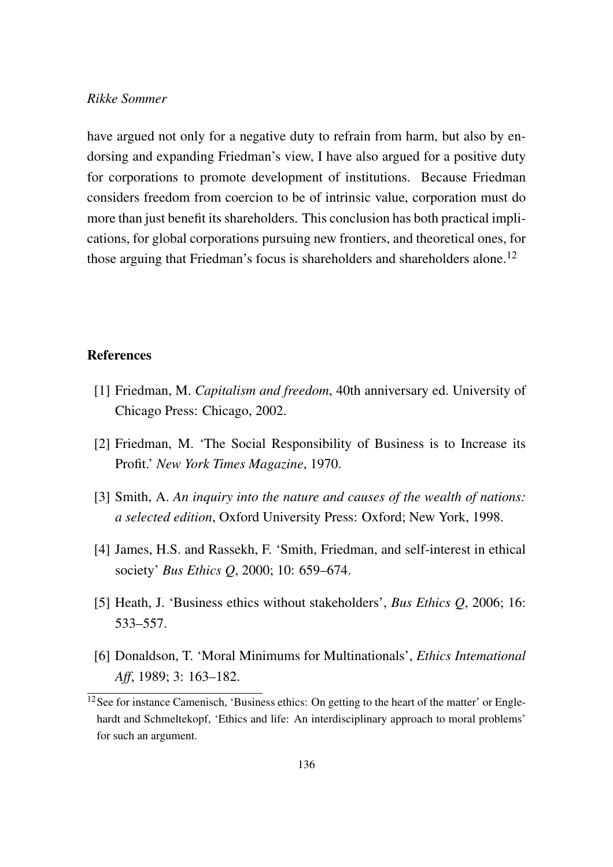### *Rikke Sommer*

have argued not only for a negative duty to refrain from harm, but also by endorsing and expanding Friedman's view, I have also argued for a positive duty for corporations to promote development of institutions. Because Friedman considers freedom from coercion to be of intrinsic value, corporation must do more than just benefit its shareholders. This conclusion has both practical implications, for global corporations pursuing new frontiers, and theoretical ones, for those arguing that Friedman's focus is shareholders and shareholders alone.<sup>12</sup>

# References

- [1] Friedman, M. *Capitalism and freedom*, 40th anniversary ed. University of Chicago Press: Chicago, 2002.
- [2] Friedman, M. 'The Social Responsibility of Business is to Increase its Profit.' *New York Times Magazine*, 1970.
- [3] Smith, A. *An inquiry into the nature and causes of the wealth of nations: a selected edition*, Oxford University Press: Oxford; New York, 1998.
- [4] James, H.S. and Rassekh, F. 'Smith, Friedman, and self-interest in ethical society' *Bus Ethics Q*, 2000; 10: 659–674.
- [5] Heath, J. 'Business ethics without stakeholders', *Bus Ethics Q*, 2006; 16: 533–557.
- [6] Donaldson, T. 'Moral Minimums for Multinationals', *Ethics Intemational Aff*, 1989; 3: 163–182.

 $12$ See for instance Camenisch, 'Business ethics: On getting to the heart of the matter' or Englehardt and Schmeltekopf, 'Ethics and life: An interdisciplinary approach to moral problems' for such an argument.